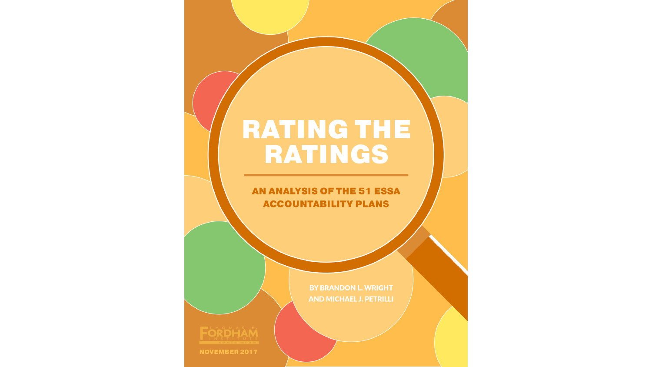#### **RATING THE** RATINGS

AN ANALYSIS OF THE 51 ESSA **ACCOUNTABILITY PLANS** 

**BY BRANDON L. WRIGHT** 

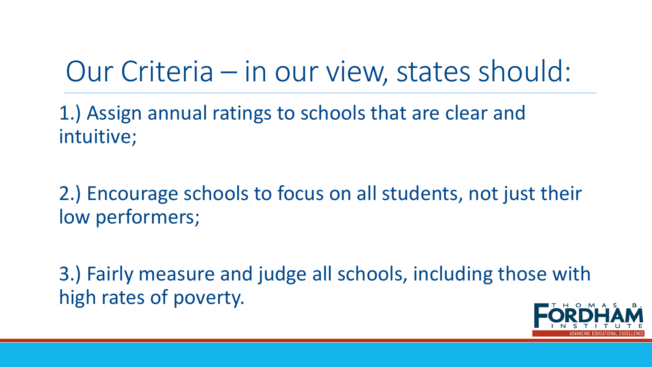# Our Criteria – in our view, states should:

1.) Assign annual ratings to schools that are clear and intuitive;

2.) Encourage schools to focus on all students, not just their low performers;

3.) Fairly measure and judge all schools, including those with high rates of poverty.

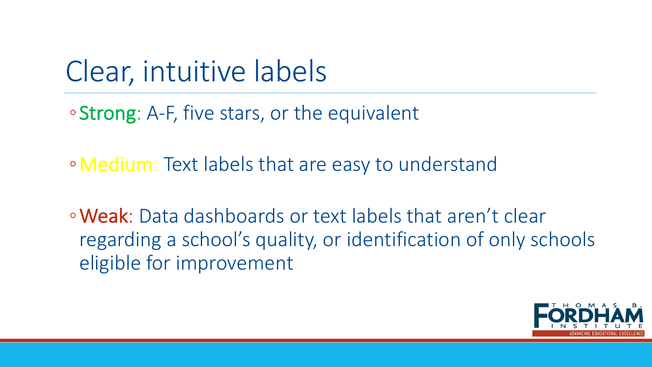# Clear, intuitive labels

• Strong: A-F, five stars, or the equivalent

• Medium: Text labels that are easy to understand

• Weak: Data dashboards or text labels that aren't clear regarding a school's quality, or identification of only schools eligible for improvement

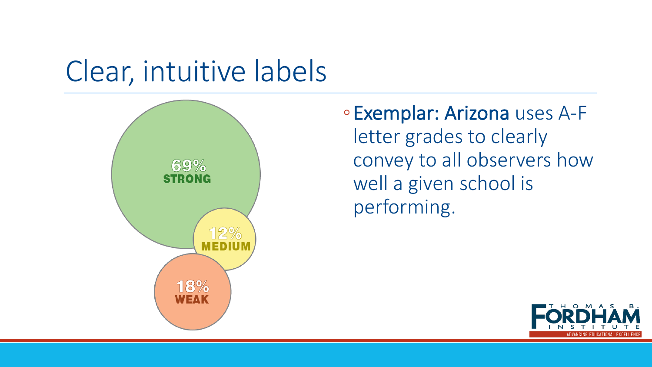### Clear, intuitive labels



◦Exemplar: Arizona uses A-F letter grades to clearly convey to all observers how well a given school is performing.

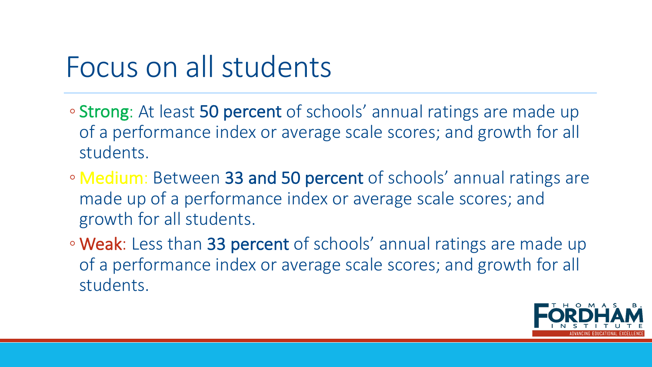#### Focus on all students

- **Strong**: At least 50 percent of schools' annual ratings are made up of a performance index or average scale scores; and growth for all students.
- Medium: Between 33 and 50 percent of schools' annual ratings are made up of a performance index or average scale scores; and growth for all students.
- **Weak**: Less than 33 percent of schools' annual ratings are made up of a performance index or average scale scores; and growth for all students.

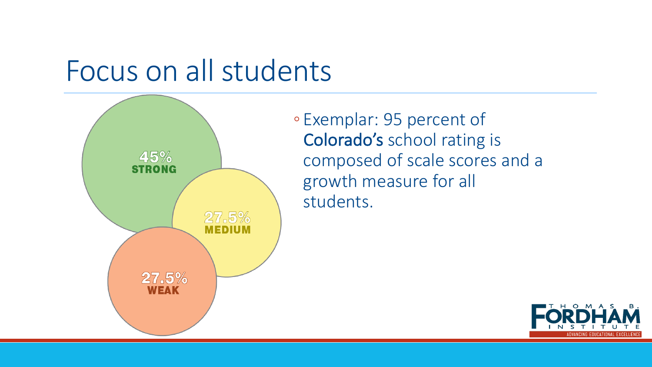### Focus on all students



◦ Exemplar: 95 percent of Colorado's school rating is composed of scale scores and a growth measure for all students.

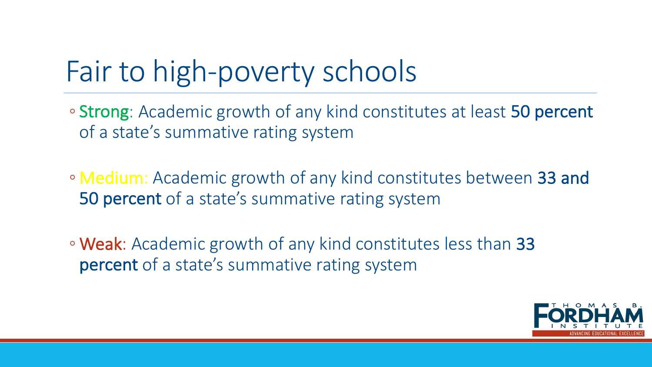# Fair to high-poverty schools

- Strong: Academic growth of any kind constitutes at least 50 percent of a state's summative rating system
- Medium: Academic growth of any kind constitutes between 33 and **50 percent** of a state's summative rating system
- Weak: Academic growth of any kind constitutes less than 33 percent of a state's summative rating system